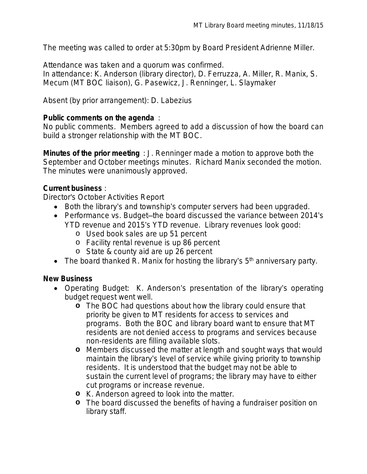The meeting was called to order at 5:30pm by Board President Adrienne Miller.

Attendance was taken and a quorum was confirmed.

In attendance: K. Anderson (library director), D. Ferruzza, A. Miller, R. Manix, S. Mecum (MT BOC liaison), G. Pasewicz, J. Renninger, L. Slaymaker

Absent (by prior arrangement): D. Labezius

#### **Public comments on the agenda** :

No public comments. Members agreed to add a discussion of how the board can build a stronger relationship with the MT BOC.

**Minutes of the prior meeting** : J. Renninger made a motion to approve both the September and October meetings minutes. Richard Manix seconded the motion. The minutes were unanimously approved.

#### **Current business** :

Director's October Activities Report

- Both the library's and township's computer servers had been upgraded.
- Performance vs. Budget-the board discussed the variance between 2014's YTD revenue and 2015's YTD revenue. Library revenues look good:
	- o Used book sales are up 51 percent
	- o Facility rental revenue is up 86 percent
	- o State & county aid are up 26 percent
- The board thanked R. Manix for hosting the library's  $5<sup>th</sup>$  anniversary party.

#### **New Business**

- Operating Budget: K. Anderson's presentation of the library's operating budget request went well.
	- **o** The BOC had questions about how the library could ensure that priority be given to MT residents for access to services and programs. Both the BOC and library board want to ensure that MT residents are not denied access to programs and services because non-residents are filling available slots.
	- **o** Members discussed the matter at length and sought ways that would maintain the library's level of service while giving priority to township residents. It is understood that the budget may not be able to sustain the current level of programs; the library may have to either cut programs or increase revenue.
	- **o** K. Anderson agreed to look into the matter.
	- **o** The board discussed the benefits of having a fundraiser position on library staff.